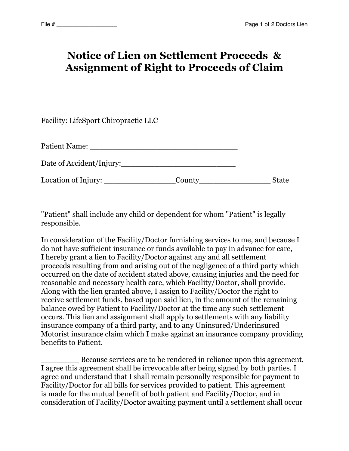## **Notice of Lien on Settlement Proceeds & Assignment of Right to Proceeds of Claim**

| Facility: LifeSport Chiropractic LLC         |        |              |
|----------------------------------------------|--------|--------------|
| Patient Name: ______                         |        |              |
| Date of Accident/Injury:                     |        |              |
| Location of Injury: $\overline{\phantom{a}}$ | County | <b>State</b> |

"Patient" shall include any child or dependent for whom "Patient" is legally responsible.

In consideration of the Facility/Doctor furnishing services to me, and because I do not have sufficient insurance or funds available to pay in advance for care, I hereby grant a lien to Facility/Doctor against any and all settlement proceeds resulting from and arising out of the negligence of a third party which occurred on the date of accident stated above, causing injuries and the need for reasonable and necessary health care, which Facility/Doctor, shall provide. Along with the lien granted above, I assign to Facility/Doctor the right to receive settlement funds, based upon said lien, in the amount of the remaining balance owed by Patient to Facility/Doctor at the time any such settlement occurs. This lien and assignment shall apply to settlements with any liability insurance company of a third party, and to any Uninsured/Underinsured Motorist insurance claim which I make against an insurance company providing benefits to Patient.

\_\_\_\_\_\_\_\_ Because services are to be rendered in reliance upon this agreement, I agree this agreement shall be irrevocable after being signed by both parties. I agree and understand that I shall remain personally responsible for payment to Facility/Doctor for all bills for services provided to patient. This agreement is made for the mutual benefit of both patient and Facility/Doctor, and in consideration of Facility/Doctor awaiting payment until a settlement shall occur